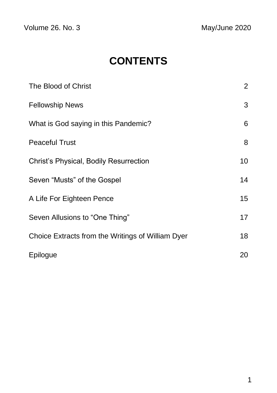Volume 26. No. 3 May/June 2020

# **CONTENTS**

| The Blood of Christ                               | $\overline{2}$ |
|---------------------------------------------------|----------------|
| <b>Fellowship News</b>                            | 3              |
| What is God saying in this Pandemic?              | 6              |
| <b>Peaceful Trust</b>                             | 8              |
| Christ's Physical, Bodily Resurrection            | 10             |
| Seven "Musts" of the Gospel                       | 14             |
| A Life For Eighteen Pence                         | 15             |
| Seven Allusions to "One Thing"                    | 17             |
| Choice Extracts from the Writings of William Dyer | 18             |
| Epilogue                                          | 20             |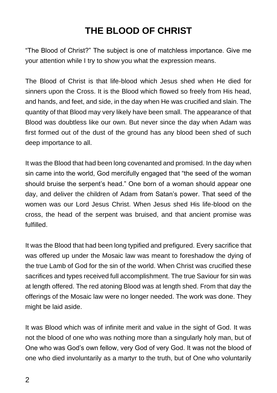## **THE BLOOD OF CHRIST**

"The Blood of Christ?" The subject is one of matchless importance. Give me your attention while I try to show you what the expression means.

The Blood of Christ is that life-blood which Jesus shed when He died for sinners upon the Cross. It is the Blood which flowed so freely from His head, and hands, and feet, and side, in the day when He was crucified and slain. The quantity of that Blood may very likely have been small. The appearance of that Blood was doubtless like our own. But never since the day when Adam was first formed out of the dust of the ground has any blood been shed of such deep importance to all.

It was the Blood that had been long covenanted and promised. In the day when sin came into the world, God mercifully engaged that "the seed of the woman should bruise the serpent's head." One born of a woman should appear one day, and deliver the children of Adam from Satan's power. That seed of the women was our Lord Jesus Christ. When Jesus shed His life-blood on the cross, the head of the serpent was bruised, and that ancient promise was fulfilled.

It was the Blood that had been long typified and prefigured. Every sacrifice that was offered up under the Mosaic law was meant to foreshadow the dying of the true Lamb of God for the sin of the world. When Christ was crucified these sacrifices and types received full accomplishment. The true Saviour for sin was at length offered. The red atoning Blood was at length shed. From that day the offerings of the Mosaic law were no longer needed. The work was done. They might be laid aside.

It was Blood which was of infinite merit and value in the sight of God. It was not the blood of one who was nothing more than a singularly holy man, but of One who was God's own fellow, very God of very God. It was not the blood of one who died involuntarily as a martyr to the truth, but of One who voluntarily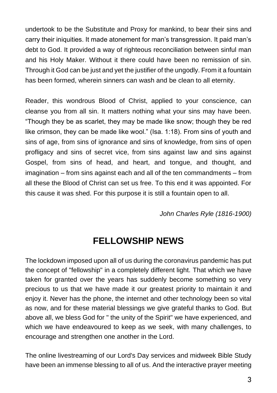undertook to be the Substitute and Proxy for mankind, to bear their sins and carry their iniquities. It made atonement for man's transgression. It paid man's debt to God. It provided a way of righteous reconciliation between sinful man and his Holy Maker. Without it there could have been no remission of sin. Through it God can be just and yet the justifier of the ungodly. From it a fountain has been formed, wherein sinners can wash and be clean to all eternity.

Reader, this wondrous Blood of Christ, applied to your conscience, can cleanse you from all sin. It matters nothing what your sins may have been. "Though they be as scarlet, they may be made like snow; though they be red like crimson, they can be made like wool." (Isa. 1:18). From sins of youth and sins of age, from sins of ignorance and sins of knowledge, from sins of open profligacy and sins of secret vice, from sins against law and sins against Gospel, from sins of head, and heart, and tongue, and thought, and imagination – from sins against each and all of the ten commandments – from all these the Blood of Christ can set us free. To this end it was appointed. For this cause it was shed. For this purpose it is still a fountain open to all.

*John Charles Ryle (1816-1900)*

### **FELLOWSHIP NEWS**

The lockdown imposed upon all of us during the coronavirus pandemic has put the concept of "fellowship" in a completely different light. That which we have taken for granted over the years has suddenly become something so very precious to us that we have made it our greatest priority to maintain it and enjoy it. Never has the phone, the internet and other technology been so vital as now, and for these material blessings we give grateful thanks to God. But above all, we bless God for " the unity of the Spirit" we have experienced, and which we have endeavoured to keep as we seek, with many challenges, to encourage and strengthen one another in the Lord.

The online livestreaming of our Lord's Day services and midweek Bible Study have been an immense blessing to all of us. And the interactive prayer meeting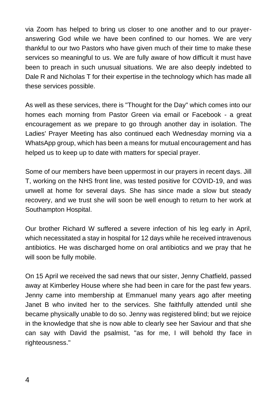via Zoom has helped to bring us closer to one another and to our prayeranswering God while we have been confined to our homes. We are very thankful to our two Pastors who have given much of their time to make these services so meaningful to us. We are fully aware of how difficult it must have been to preach in such unusual situations. We are also deeply indebted to Dale R and Nicholas T for their expertise in the technology which has made all these services possible.

As well as these services, there is "Thought for the Day" which comes into our homes each morning from Pastor Green via email or Facebook - a great encouragement as we prepare to go through another day in isolation. The Ladies' Prayer Meeting has also continued each Wednesday morning via a WhatsApp group, which has been a means for mutual encouragement and has helped us to keep up to date with matters for special prayer.

Some of our members have been uppermost in our prayers in recent days. Jill T, working on the NHS front line, was tested positive for COVID-19, and was unwell at home for several days. She has since made a slow but steady recovery, and we trust she will soon be well enough to return to her work at Southampton Hospital.

Our brother Richard W suffered a severe infection of his leg early in April, which necessitated a stay in hospital for 12 days while he received intravenous antibiotics. He was discharged home on oral antibiotics and we pray that he will soon be fully mobile.

On 15 April we received the sad news that our sister, Jenny Chatfield, passed away at Kimberley House where she had been in care for the past few years. Jenny came into membership at Emmanuel many years ago after meeting Janet B who invited her to the services. She faithfully attended until she became physically unable to do so. Jenny was registered blind; but we rejoice in the knowledge that she is now able to clearly see her Saviour and that she can say with David the psalmist, "as for me, I will behold thy face in righteousness."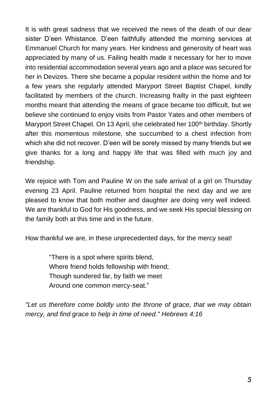It is with great sadness that we received the news of the death of our dear sister D'een Whistance. D'een faithfully attended the morning services at Emmanuel Church for many years. Her kindness and generosity of heart was appreciated by many of us. Failing health made it necessary for her to move into residential accommodation several years ago and a place was secured for her in Devizes. There she became a popular resident within the home and for a few years she regularly attended Maryport Street Baptist Chapel, kindly facilitated by members of the church. Increasing frailty in the past eighteen months meant that attending the means of grace became too difficult, but we believe she continued to enjoy visits from Pastor Yates and other members of Maryport Street Chapel. On 13 April, she celebrated her 100<sup>th</sup> birthday. Shortly after this momentous milestone, she succumbed to a chest infection from which she did not recover. D'een will be sorely missed by many friends but we give thanks for a long and happy life that was filled with much joy and friendship.

We rejoice with Tom and Pauline W on the safe arrival of a girl on Thursday evening 23 April. Pauline returned from hospital the next day and we are pleased to know that both mother and daughter are doing very well indeed. We are thankful to God for His goodness, and we seek His special blessing on the family both at this time and in the future.

How thankful we are, in these unprecedented days, for the mercy seat!

"There is a spot where spirits blend, Where friend holds fellowship with friend; Though sundered far, by faith we meet Around one common mercy-seat."

*"Let us therefore come boldly unto the throne of grace, that we may obtain mercy, and find grace to help in time of need." Hebrews 4:16*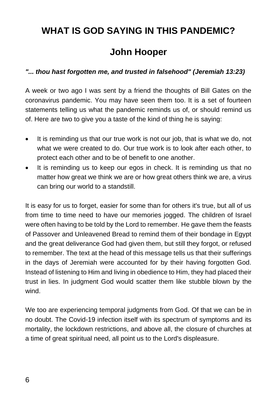### **WHAT IS GOD SAYING IN THIS PANDEMIC?**

### **John Hooper**

#### *"... thou hast forgotten me, and trusted in falsehood" (Jeremiah 13:23)*

A week or two ago I was sent by a friend the thoughts of Bill Gates on the coronavirus pandemic. You may have seen them too. It is a set of fourteen statements telling us what the pandemic reminds us of, or should remind us of. Here are two to give you a taste of the kind of thing he is saying:

- It is reminding us that our true work is not our job, that is what we do, not what we were created to do. Our true work is to look after each other, to protect each other and to be of benefit to one another.
- It is reminding us to keep our egos in check. It is reminding us that no matter how great we think we are or how great others think we are, a virus can bring our world to a standstill.

It is easy for us to forget, easier for some than for others it's true, but all of us from time to time need to have our memories jogged. The children of Israel were often having to be told by the Lord to remember. He gave them the feasts of Passover and Unleavened Bread to remind them of their bondage in Egypt and the great deliverance God had given them, but still they forgot, or refused to remember. The text at the head of this message tells us that their sufferings in the days of Jeremiah were accounted for by their having forgotten God. Instead of listening to Him and living in obedience to Him, they had placed their trust in lies. In judgment God would scatter them like stubble blown by the wind.

We too are experiencing temporal judgments from God. Of that we can be in no doubt. The Covid-19 infection itself with its spectrum of symptoms and its mortality, the lockdown restrictions, and above all, the closure of churches at a time of great spiritual need, all point us to the Lord's displeasure.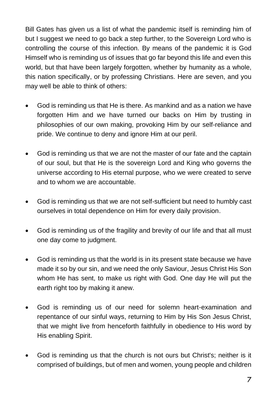Bill Gates has given us a list of what the pandemic itself is reminding him of but I suggest we need to go back a step further, to the Sovereign Lord who is controlling the course of this infection. By means of the pandemic it is God Himself who is reminding us of issues that go far beyond this life and even this world, but that have been largely forgotten, whether by humanity as a whole, this nation specifically, or by professing Christians. Here are seven, and you may well be able to think of others:

- God is reminding us that He is there. As mankind and as a nation we have forgotten Him and we have turned our backs on Him by trusting in philosophies of our own making, provoking Him by our self-reliance and pride. We continue to deny and ignore Him at our peril.
- God is reminding us that we are not the master of our fate and the captain of our soul, but that He is the sovereign Lord and King who governs the universe according to His eternal purpose, who we were created to serve and to whom we are accountable.
- God is reminding us that we are not self-sufficient but need to humbly cast ourselves in total dependence on Him for every daily provision.
- God is reminding us of the fragility and brevity of our life and that all must one day come to judgment.
- God is reminding us that the world is in its present state because we have made it so by our sin, and we need the only Saviour, Jesus Christ His Son whom He has sent, to make us right with God. One day He will put the earth right too by making it anew.
- God is reminding us of our need for solemn heart-examination and repentance of our sinful ways, returning to Him by His Son Jesus Christ, that we might live from henceforth faithfully in obedience to His word by His enabling Spirit.
- God is reminding us that the church is not ours but Christ's; neither is it comprised of buildings, but of men and women, young people and children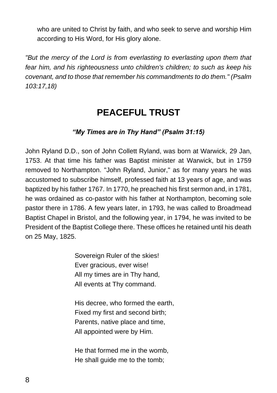who are united to Christ by faith, and who seek to serve and worship Him according to His Word, for His glory alone.

*"But the mercy of the Lord is from everlasting to everlasting upon them that fear him, and his righteousness unto children's children; to such as keep his covenant, and to those that remember his commandments to do them." (Psalm 103:17,18)*

### **PEACEFUL TRUST**

#### *"My Times are in Thy Hand" (Psalm 31:15)*

John Ryland D.D., son of John Collett Ryland, was born at Warwick, 29 Jan, 1753. At that time his father was Baptist minister at Warwick, but in 1759 removed to Northampton. "John Ryland, Junior," as for many years he was accustomed to subscribe himself, professed faith at 13 years of age, and was baptized by his father 1767. In 1770, he preached his first sermon and, in 1781, he was ordained as co-pastor with his father at Northampton, becoming sole pastor there in 1786. A few years later, in 1793, he was called to Broadmead Baptist Chapel in Bristol, and the following year, in 1794, he was invited to be President of the Baptist College there. These offices he retained until his death on 25 May, 1825.

> Sovereign Ruler of the skies! Ever gracious, ever wise! All my times are in Thy hand, All events at Thy command.

His decree, who formed the earth, Fixed my first and second birth; Parents, native place and time, All appointed were by Him.

He that formed me in the womb, He shall guide me to the tomb;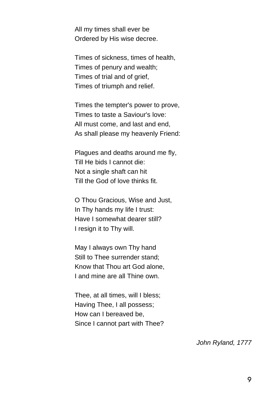All my times shall ever be Ordered by His wise decree.

Times of sickness, times of health, Times of penury and wealth; Times of trial and of grief, Times of triumph and relief.

Times the tempter's power to prove, Times to taste a Saviour's love: All must come, and last and end, As shall please my heavenly Friend:

Plagues and deaths around me fly, Till He bids I cannot die: Not a single shaft can hit Till the God of love thinks fit.

O Thou Gracious, Wise and Just, In Thy hands my life I trust: Have I somewhat dearer still? I resign it to Thy will.

May I always own Thy hand Still to Thee surrender stand; Know that Thou art God alone, I and mine are all Thine own.

Thee, at all times, will I bless; Having Thee, I all possess; How can I bereaved be, Since I cannot part with Thee?

*John Ryland, 1777*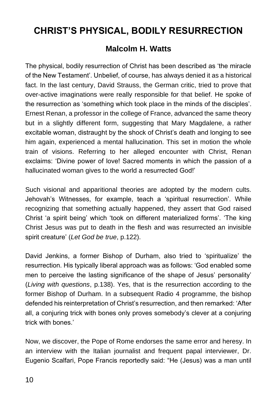## **CHRIST'S PHYSICAL, BODILY RESURRECTION**

#### **Malcolm H. Watts**

The physical, bodily resurrection of Christ has been described as 'the miracle of the New Testament'. Unbelief, of course, has always denied it as a historical fact. In the last century, David Strauss, the German critic, tried to prove that over-active imaginations were really responsible for that belief. He spoke of the resurrection as 'something which took place in the minds of the disciples'. Ernest Renan, a professor in the college of France, advanced the same theory but in a slightly different form, suggesting that Mary Magdalene, a rather excitable woman, distraught by the shock of Christ's death and longing to see him again, experienced a mental hallucination. This set in motion the whole train of visions. Referring to her alleged encounter with Christ, Renan exclaims: 'Divine power of love! Sacred moments in which the passion of a hallucinated woman gives to the world a resurrected God!'

Such visional and apparitional theories are adopted by the modern cults. Jehovah's Witnesses, for example, teach a 'spiritual resurrection'. While recognizing that something actually happened, they assert that God raised Christ 'a spirit being' which 'took on different materialized forms'. 'The king Christ Jesus was put to death in the flesh and was resurrected an invisible spirit creature' (*Let God be true*, p.122).

David Jenkins, a former Bishop of Durham, also tried to 'spiritualize' the resurrection. His typically liberal approach was as follows: 'God enabled some men to perceive the lasting significance of the shape of Jesus' personality' (*Living with questions*, p.138). Yes, that is the resurrection according to the former Bishop of Durham. In a subsequent Radio 4 programme, the bishop defended his reinterpretation of Christ's resurrection, and then remarked: 'After all, a conjuring trick with bones only proves somebody's clever at a conjuring trick with bones.'

Now, we discover, the Pope of Rome endorses the same error and heresy. In an interview with the Italian journalist and frequent papal interviewer, Dr. Eugenio Scalfari, Pope Francis reportedly said: "He (Jesus) was a man until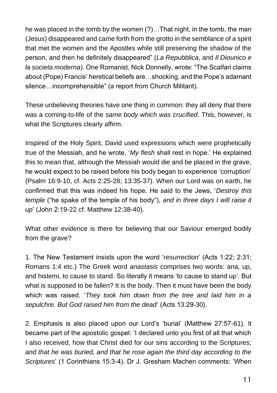he was placed in the tomb by the women (?)…That night, in the tomb, the man (Jesus) disappeared and came forth from the grotto in the semblance of a spirit that met the women and the Apostles while still preserving the shadow of the person, and then he definitely disappeared" (*La Repubblica*, and *Il Diounico e la societa moderna*). One Romanist, Nick Donnelly, wrote: "The Scalfari claims about (Pope) Francis' heretical beliefs are…shocking, and the Pope's adamant silence…incomprehensible" (a report from Church Militant).

These unbelieving theories have one thing in common: they all deny that there was a coming-to-life of the *same body which was crucified*. This, however, is what the Scriptures clearly affirm.

Inspired of the Holy Spirit, David used expressions which were prophetically true of the Messiah, and he wrote, '*My flesh* shall rest in hope.' He explained this to mean that, although the Messiah would die and be placed in the grave, he would expect to be raised before his body began to experience 'corruption' (Psalm 16:9-10, cf. Acts 2:25-28; 13:35-37). When our Lord was on earth, he confirmed that this was indeed his hope. He said to the Jews, '*Destroy this temple* ("he spake of the temple of his body"), *and in three days I will raise it up*' (John 2:19-22 cf. Matthew 12:38-40).

What other evidence is there for believing that our Saviour emerged bodily from the grave?

1. The New Testament insists upon the word '*resurrection*' (Acts 1:22; 2:31; Romans 1:4 etc.) The Greek word *anastasis* comprises two words: ana, up, and histemi, to cause to stand. So literally it means 'to cause to stand up'. But what is supposed to be fallen? It is the body. Then it must have been the body which was raised. '*They took him down from the tree and laid him in a sepulchre. But God raised him from the dead*' (Acts 13:29-30).

2. Emphasis is also placed upon our Lord's 'burial' (Matthew 27:57-61). It became part of the apostolic gospel: 'I declared unto you first of all that which I also received, how that Christ died for our sins according to the Scriptures; *and that he was buried, and that he rose again the third day according to the Scriptures*' (1 Corinthians 15:3-4). Dr J. Gresham Machen comments: 'When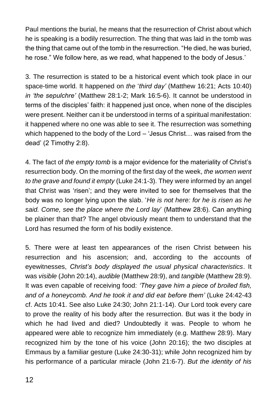Paul mentions the burial, he means that the resurrection of Christ about which he is speaking is a bodily resurrection. The thing that was laid in the tomb was the thing that came out of the tomb in the resurrection. "He died, he was buried, he rose." We follow here, as we read, what happened to the body of Jesus.'

3. The resurrection is stated to be a historical event which took place in our space-time world. It happened on *the* '*third day'* (Matthew 16:21; Acts 10:40) *in 'the sepulchre'* (Matthew 28:1-2; Mark 16:5-6). It cannot be understood in terms of the disciples' faith: it happened just once, when none of the disciples were present. Neither can it be understood in terms of a spiritual manifestation: it happened where no one was able to see it. The resurrection was something which happened to the body of the Lord – 'Jesus Christ… was raised from the dead' (2 Timothy 2:8).

4. The fact of *the empty tomb* is a major evidence for the materiality of Christ's resurrection body. On the morning of the first day of the week, *the women went to the grave and found it empty* (Luke 24:1-3). They were informed by an angel that Christ was 'risen'; and they were invited to see for themselves that the body was no longer lying upon the slab. '*He is not here: for he is risen as he said. Come, see the place where the Lord lay*' (Matthew 28:6). Can anything be plainer than that? The angel obviously meant them to understand that the Lord has resumed the form of his bodily existence.

5. There were at least ten appearances of the risen Christ between his resurrection and his ascension; and, according to the accounts of eyewitnesses, *Christ's body displayed the usual physical characteristics*. It was *visible* (John 20:14), *audible* (Matthew 28:9), and *tangible* (Matthew 28:9). It was even capable of receiving food: *'They gave him a piece of broiled fish, and of a honeycomb. And he took it and did eat before them'* (Luke 24:42-43 cf. Acts 10:41. See also Luke 24:30; John 21:1-14). Our Lord took every care to prove the reality of his body after the resurrection. But was it the body in which he had lived and died? Undoubtedly it was. People to whom he appeared were able to recognize him immediately (e.g. Matthew 28:9). Mary recognized him by the tone of his voice (John 20:16); the two disciples at Emmaus by a familiar gesture (Luke 24:30-31); while John recognized him by his performance of a particular miracle (John 21:6-7). *But the identity of his*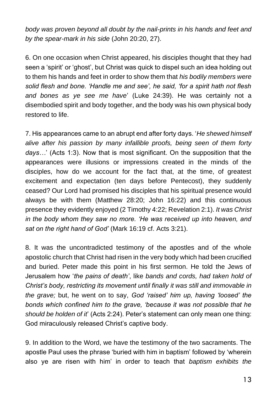body was proven beyond all doubt by the nail-prints in his hands and feet and *by the spear-mark in his side* (John 20:20, 27).

6. On one occasion when Christ appeared, his disciples thought that they had seen a 'spirit' or 'ghost', but Christ was quick to dispel such an idea holding out to them his hands and feet in order to show them that *his bodily members were solid flesh and bone. 'Handle me and see', he said, 'for a spirit hath not flesh and bones as ye see me have*' (Luke 24:39). He was certainly not a disembodied spirit and body together, and the body was his own physical body restored to life.

7. His appearances came to an abrupt end after forty days. '*He shewed himself alive after his passion by many infallible proofs, being seen of them forty days…*' (Acts 1:3). Now that is most significant. On the supposition that the appearances were illusions or impressions created in the minds of the disciples, how do we account for the fact that, at the time, of greatest excitement and expectation (ten days before Pentecost), they suddenly ceased? Our Lord had promised his disciples that his spiritual presence would always be with them (Matthew 28:20; John 16:22) and this continuous presence they evidently enjoyed (2 Timothy 4:22; Revelation 2:1). *It was Christ in the body whom they saw no more. 'He was received up into heaven, and sat on the right hand of God'* (Mark 16:19 cf. Acts 3:21).

8. It was the uncontradicted testimony of the apostles and of the whole apostolic church that Christ had risen in the very body which had been crucified and buried. Peter made this point in his first sermon. He told the Jews of Jerusalem how '*the pains of death'*, like *bands and cords, had taken hold of Christ's body, restricting its movement until finally it was still and immovable in the grave;* but, he went on to say, *God 'raised' him up, having 'loosed' the bonds which confined him to the grave, 'because it was not possible that he should be holden of it*' (Acts 2:24). Peter's statement can only mean one thing: God miraculously released Christ's captive body.

9. In addition to the Word, we have the testimony of the two sacraments. The apostle Paul uses the phrase 'buried with him in baptism' followed by 'wherein also ye are risen with him' in order to teach that *baptism exhibits the*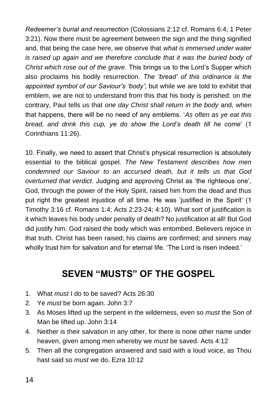*Redeemer's burial and resurrection* (Colossians 2:12 cf. Romans 6:4; 1 Peter 3:21). Now there must be agreement between the sign and the thing signified and, that being the case here, we observe that *what is immersed under water is raised up again and we therefore conclude that it was the buried body of Christ which rose out of the grave*. This brings us to the Lord's Supper which also proclaims his bodily resurrection. *The 'bread' of this ordinance is the appointed symbol of our Saviour's 'body'*; but while we are told to exhibit that emblem, we are not to understand from this that his body is perished: on the contrary, Paul tells us that *one day Christ shall return in the body* and, when that happens, there will be no need of any emblems. '*As often as ye eat this bread, and drink this cup, ye do show the Lord's death till he come*' (1 Corinthians 11:26).

10. Finally, we need to assert that Christ's physical resurrection is absolutely essential to the biblical gospel. *The New Testament describes how men condemned our Saviour to an accursed death, but it tells us that God overturned that verdict*. Judging and approving Christ as 'the righteous one', God, through the power of the Holy Spirit, raised him from the dead and thus put right the greatest injustice of all time. He was 'justified in the Spirit' (1 Timothy 3:16 cf. Romans 1:4; Acts 2:23-24; 4:10). What sort of justification is it which leaves his body under penalty of death? No justification at all! But God did justify him. God raised the body which was entombed. Believers rejoice in that truth. Christ has been raised; his claims are confirmed; and sinners may wholly trust him for salvation and for eternal life. 'The Lord is risen indeed.'

## **SEVEN "MUSTS" OF THE GOSPEL**

- 1. What *must* I do to be saved? Acts 26:30
- 2. Ye *must* be born again. John 3:7
- 3. As Moses lifted up the serpent in the wilderness, even so *must* the Son of Man be lifted up. John 3:14
- 4. Neither is their salvation in any other, for there is none other name under heaven, given among men whereby we *must* be saved. Acts 4:12
- 5. Then all the congregation answered and said with a loud voice, as Thou hast said so *must* we do. Ezra 10:12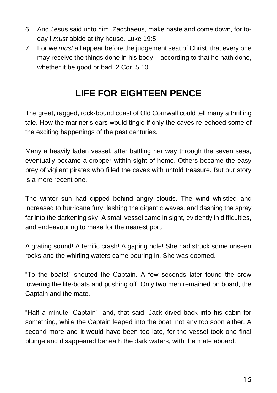- 6. And Jesus said unto him, Zacchaeus, make haste and come down, for today I *must* abide at thy house. Luke 19:5
- 7. For we *must* all appear before the judgement seat of Christ, that every one may receive the things done in his body – according to that he hath done, whether it be good or bad. 2 Cor. 5:10

## **LIFE FOR EIGHTEEN PENCE**

The great, ragged, rock-bound coast of Old Cornwall could tell many a thrilling tale. How the mariner's ears would tingle if only the caves re-echoed some of the exciting happenings of the past centuries.

Many a heavily laden vessel, after battling her way through the seven seas, eventually became a cropper within sight of home. Others became the easy prey of vigilant pirates who filled the caves with untold treasure. But our story is a more recent one.

The winter sun had dipped behind angry clouds. The wind whistled and increased to hurricane fury, lashing the gigantic waves, and dashing the spray far into the darkening sky. A small vessel came in sight, evidently in difficulties, and endeavouring to make for the nearest port.

A grating sound! A terrific crash! A gaping hole! She had struck some unseen rocks and the whirling waters came pouring in. She was doomed.

"To the boats!" shouted the Captain. A few seconds later found the crew lowering the life-boats and pushing off. Only two men remained on board, the Captain and the mate.

"Half a minute, Captain", and, that said, Jack dived back into his cabin for something, while the Captain leaped into the boat, not any too soon either. A second more and it would have been too late, for the vessel took one final plunge and disappeared beneath the dark waters, with the mate aboard.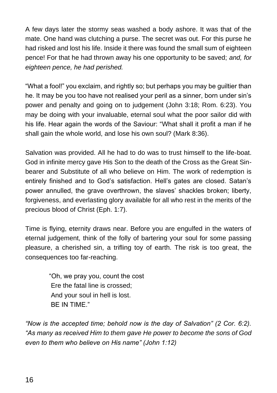A few days later the stormy seas washed a body ashore. It was that of the mate. One hand was clutching a purse. The secret was out. For this purse he had risked and lost his life. Inside it there was found the small sum of eighteen pence! For that he had thrown away his one opportunity to be saved; *and, for eighteen pence, he had perished.*

"What a fool!" you exclaim, and rightly so; but perhaps you may be guiltier than he. It may be you too have not realised your peril as a sinner, born under sin's power and penalty and going on to judgement (John 3:18; Rom. 6:23). You may be doing with your invaluable, eternal soul what the poor sailor did with his life. Hear again the words of the Saviour: "What shall it profit a man if he shall gain the whole world, and lose his own soul? (Mark 8:36).

Salvation was provided. All he had to do was to trust himself to the life-boat. God in infinite mercy gave His Son to the death of the Cross as the Great Sinbearer and Substitute of all who believe on Him. The work of redemption is entirely finished and to God's satisfaction. Hell's gates are closed. Satan's power annulled, the grave overthrown, the slaves' shackles broken; liberty, forgiveness, and everlasting glory available for all who rest in the merits of the precious blood of Christ (Eph. 1:7).

Time is flying, eternity draws near. Before you are engulfed in the waters of eternal judgement, think of the folly of bartering your soul for some passing pleasure, a cherished sin, a trifling toy of earth. The risk is too great, the consequences too far-reaching.

> "Oh, we pray you, count the cost Ere the fatal line is crossed; And your soul in hell is lost. BE IN TIME."

*"Now is the accepted time; behold now is the day of Salvation" (2 Cor. 6:2). "As many as received Him to them gave He power to become the sons of God even to them who believe on His name" (John 1:12)*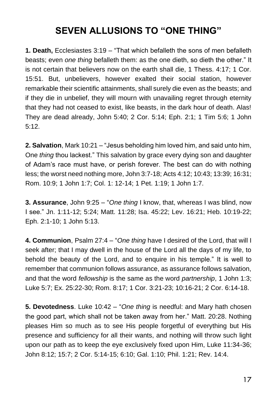## **SEVEN ALLUSIONS TO "ONE THING"**

**1. Death,** Ecclesiastes 3:19 – "That which befalleth the sons of men befalleth beasts; even *one thing* befalleth them: as the one dieth, so dieth the other." It is not certain that believers now on the earth shall die, 1 Thess. 4:17; 1 Cor. 15:51. But, unbelievers, however exalted their social station, however remarkable their scientific attainments, shall surely die even as the beasts; and if they die in unbelief, they will mourn with unavailing regret through eternity that they had not ceased to exist, like beasts, in the dark hour of death. Alas! They are dead already, John 5:40; 2 Cor. 5:14; Eph. 2:1; 1 Tim 5:6; 1 John 5:12.

**2. Salvation**, Mark 10:21 – "Jesus beholding him loved him, and said unto him, One *thing* thou lackest." This salvation by grace every dying son and daughter of Adam's race must have, or perish forever. The best can do with nothing less; the worst need nothing more, John 3:7-18; Acts 4:12; 10:43; 13:39; 16:31; Rom. 10:9; 1 John 1:7; Col. 1: 12-14; 1 Pet. 1:19; 1 John 1:7.

**3. Assurance**, John 9:25 – "*One thing* I know, that, whereas I was blind, now I see." Jn. 1:11-12; 5:24; Matt. 11:28; Isa. 45:22; Lev. 16:21; Heb. 10:19-22; Eph. 2:1-10; 1 John 5:13.

**4. Communion**, Psalm 27:4 – "*One thing* have I desired of the Lord, that will I seek after; that I may dwell in the house of the Lord all the days of my life, to behold the beauty of the Lord, and to enquire in his temple." It is well to remember that communion follows assurance, as assurance follows salvation, and that the word *fellowship* is the same as the word *partnership*, 1 John 1:3; Luke 5:7; Ex. 25:22-30; Rom. 8:17; 1 Cor. 3:21-23; 10:16-21; 2 Cor. 6:14-18.

**5. Devotedness**. Luke 10:42 – "*One thing* is needful: and Mary hath chosen the good part, which shall not be taken away from her." Matt. 20:28. Nothing pleases Him so much as to see His people forgetful of everything but His presence and sufficiency for all their wants, and nothing will throw such light upon our path as to keep the eye exclusively fixed upon Him, Luke 11:34-36; John 8:12; 15:7; 2 Cor. 5:14-15; 6:10; Gal. 1:10; Phil. 1:21; Rev. 14:4.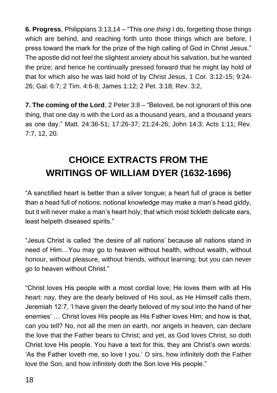**6. Progress**, Philippians 3:13,14 – "This *one thing* I do, forgetting those things which are behind, and reaching forth unto those things which are before, I press toward the mark for the prize of the high calling of God in Christ Jesus." The apostle did not feel the slightest anxiety about his salvation, but he wanted the prize; and hence he continually pressed forward that he might lay hold of that for which also he was laid hold of by Christ Jesus, 1 Cor. 3:12-15; 9:24- 26; Gal. 6:7; 2 Tim. 4:6-8; James 1:12; 2 Pet. 3:18; Rev. 3:2,

**7. The coming of the Lord**, 2 Peter 3:8 – "Beloved, be not ignorant of this one thing, that one day is with the Lord as a thousand years, and a thousand years as one day." Matt. 24:36-51; 17:26-37; 21:24-26; John 14:3; Acts 1:11; Rev. 7:7, 12, 20.

## **CHOICE EXTRACTS FROM THE WRITINGS OF WILLIAM DYER (1632-1696)**

"A sanctified heart is better than a silver tongue; a heart full of grace is better than a head full of notions; notional knowledge may make a man's head giddy, but it will never make a man's heart holy; that which most tickleth delicate ears, least helpeth diseased spirits."

"Jesus Christ is called 'the desire of all nations' because all nations stand in need of Him…You may go to heaven without health, without wealth, without honour, without pleasure, without friends, without learning; but you can never go to heaven without Christ."

"Christ loves His people with a most cordial love; He loves them with all His heart: nay, they are the dearly beloved of His soul, as He Himself calls them, Jeremiah 12:7, 'I have given the dearly beloved of my soul into the hand of her enemies' … Christ loves His people as His Father loves Him; and how is that, can you tell? No, not all the men on earth, nor angels in heaven, can declare the love that the Father bears to Christ; and yet, as God loves Christ, so doth Christ love His people. You have a text for this, they are Christ's own words: 'As the Father loveth me, so love I you.' O sirs, how infinitely doth the Father love the Son, and how infinitely doth the Son love His people."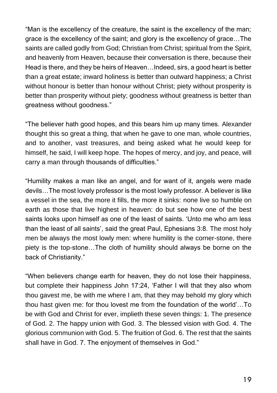"Man is the excellency of the creature, the saint is the excellency of the man; grace is the excellency of the saint; and glory is the excellency of grace…The saints are called godly from God; Christian from Christ; spiritual from the Spirit, and heavenly from Heaven, because their conversation is there, because their Head is there, and they be heirs of Heaven…Indeed, sirs, a good heart is better than a great estate; inward holiness is better than outward happiness; a Christ without honour is better than honour without Christ: piety without prosperity is better than prosperity without piety; goodness without greatness is better than greatness without goodness."

"The believer hath good hopes, and this bears him up many times. Alexander thought this so great a thing, that when he gave to one man, whole countries, and to another, vast treasures, and being asked what he would keep for himself, he said, I will keep hope. The hopes of mercy, and joy, and peace, will carry a man through thousands of difficulties."

"Humility makes a man like an angel, and for want of it, angels were made devils…The most lovely professor is the most lowly professor. A believer is like a vessel in the sea, the more it fills, the more it sinks: none live so humble on earth as those that live highest in heaven: do but see how one of the best saints looks upon himself as one of the least of saints. 'Unto me who am less than the least of all saints', said the great Paul, Ephesians 3:8. The most holy men be always the most lowly men: where humility is the corner-stone, there piety is the top-stone…The cloth of humility should always be borne on the back of Christianity."

"When believers change earth for heaven, they do not lose their happiness, but complete their happiness John 17:24, 'Father I will that they also whom thou gavest me, be with me where I am, that they may behold my glory which thou hast given me: for thou lovest me from the foundation of the world'…To be with God and Christ for ever, implieth these seven things: 1. The presence of God. 2. The happy union with God. 3. The blessed vision with God. 4. The glorious communion with God. 5. The fruition of God. 6. The rest that the saints shall have in God. 7. The enjoyment of themselves in God."